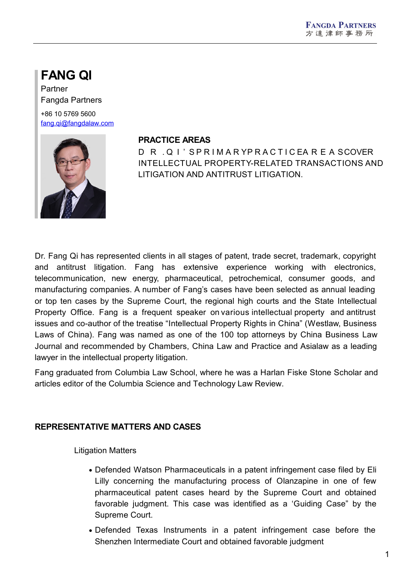# **FANG QI**

Partner Fangda Partners +86 10 5769 5600 [fang.qi@fangdalaw.com](mailto:fang.qi@fangdalaw.com)



## **PRACTICE AREAS**

D R . Q I'S PRIMARY PRACTICE ARE A SCOVER INTELLECTUAL PROPERTY-RELATED TRANSACTIONS AND LITIGATION AND ANTITRUST LITIGATION.

Dr. Fang Qi has represented clients in all stages of patent, trade secret, trademark, copyright and antitrust litigation. Fang has extensive experience working with electronics, telecommunication, new energy, pharmaceutical, petrochemical, consumer goods, and manufacturing companies. A number of Fang's cases have been selected as annual leading or top ten cases by the Supreme Court, the regional high courts and the State Intellectual Property Office. Fang is a frequent speaker on various intellectual property and antitrust issues and co-author of the treatise "Intellectual Property Rights in China" (Westlaw, Business Laws of China). Fang was named as one of the 100 top attorneys by China Business Law Journal and recommended by Chambers, China Law and Practice and Asialaw as a leading lawyer in the intellectual property litigation.

Fang graduated from Columbia Law School, where he was a Harlan Fiske Stone Scholar and articles editor of the Columbia Science and Technology Law Review.

# **REPRESENTATIVE MATTERS AND CASES**

Litigation Matters

- Defended Watson Pharmaceuticals in a patent infringement case filed by Eli Lilly concerning the manufacturing process of Olanzapine in one of few pharmaceutical patent cases heard by the Supreme Court and obtained favorable judgment. This case was identified as a 'Guiding Case" by the Supreme Court.
- Defended Texas Instruments in a patent infringement case before the Shenzhen Intermediate Court and obtained favorable judgment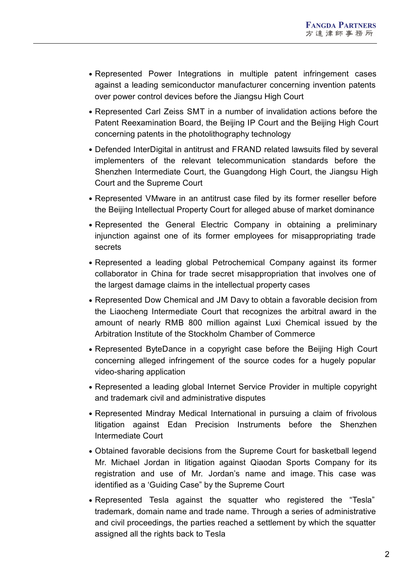- Represented Power Integrations in multiple patent infringement cases against a leading semiconductor manufacturer concerning invention patents over power control devices before the Jiangsu High Court
- Represented Carl Zeiss SMT in a number of invalidation actions before the Patent Reexamination Board, the Beijing IP Court and the Beijing High Court concerning patents in the photolithography technology
- Defended InterDigital in antitrust and FRAND related lawsuits filed by several implementers of the relevant telecommunication standards before the Shenzhen Intermediate Court, the Guangdong High Court, the Jiangsu High Court and the Supreme Court
- Represented VMware in an antitrust case filed by its former reseller before the Beijing Intellectual Property Court for alleged abuse of market dominance
- Represented the General Electric Company in obtaining a preliminary injunction against one of its former employees for misappropriating trade secrets
- Represented a leading global Petrochemical Company against its former collaborator in China for trade secret misappropriation that involves one of the largest damage claims in the intellectual property cases
- Represented Dow Chemical and JM Davy to obtain a favorable decision from the Liaocheng Intermediate Court that recognizes the arbitral award in the amount of nearly RMB 800 million against Luxi Chemical issued by the Arbitration Institute of the Stockholm Chamber of Commerce
- Represented ByteDance in a copyright case before the Beijing High Court concerning alleged infringement of the source codes for a hugely popular video-sharing application
- Represented a leading global Internet Service Provider in multiple copyright and trademark civil and administrative disputes
- Represented Mindray Medical International in pursuing a claim of frivolous litigation against Edan Precision Instruments before the Shenzhen Intermediate Court
- Obtained favorable decisions from the Supreme Court for basketball legend Mr. Michael Jordan in litigation against Qiaodan Sports Company for its registration and use of Mr. Jordan's name and image. This case was identified as a 'Guiding Case" by the Supreme Court
- Represented Tesla against the squatter who registered the "Tesla" trademark, domain name and trade name. Through a series of administrative and civil proceedings, the parties reached a settlement by which the squatter assigned all the rights back to Tesla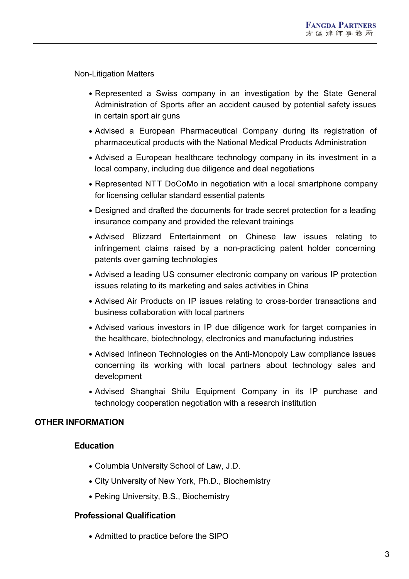Non-Litigation Matters

- Represented a Swiss company in an investigation by the State General Administration of Sports after an accident caused by potential safety issues in certain sport air guns
- Advised a European Pharmaceutical Company during its registration of pharmaceutical products with the National Medical Products Administration
- Advised a European healthcare technology company in its investment in a local company, including due diligence and deal negotiations
- Represented NTT DoCoMo in negotiation with a local smartphone company for licensing cellular standard essential patents
- Designed and drafted the documents for trade secret protection for a leading insurance company and provided the relevant trainings
- Advised Blizzard Entertainment on Chinese law issues relating to infringement claims raised by a non-practicing patent holder concerning patents over gaming technologies
- Advised a leading US consumer electronic company on various IP protection issues relating to its marketing and sales activities in China
- Advised Air Products on IP issues relating to cross-border transactions and business collaboration with local partners
- Advised various investors in IP due diligence work for target companies in the healthcare, biotechnology, electronics and manufacturing industries
- Advised Infineon Technologies on the Anti-Monopoly Law compliance issues concerning its working with local partners about technology sales and development
- Advised Shanghai Shilu Equipment Company in its IP purchase and technology cooperation negotiation with a research institution

## **OTHER INFORMATION**

## **Education**

- Columbia University School of Law, J.D.
- City University of New York, Ph.D., Biochemistry
- Peking University, B.S., Biochemistry

## **Professional Qualification**

• Admitted to practice before the SIPO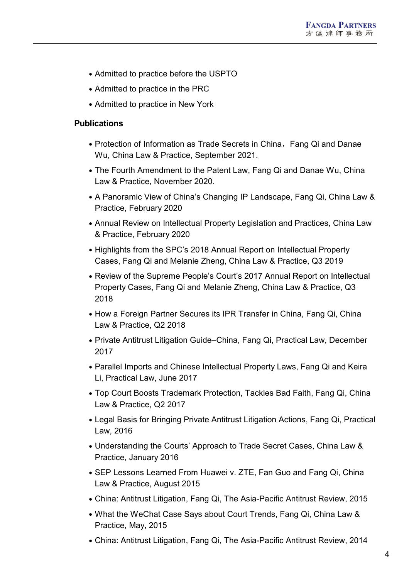- Admitted to practice before the USPTO
- Admitted to practice in the PRC
- Admitted to practice in New York

#### **Publications**

- Protection of Information as Trade Secrets in China, Fang Qi and Danae Wu, China Law & Practice, September 2021.
- The Fourth Amendment to the Patent Law, Fang Qi and Danae Wu, China Law & Practice, November 2020.
- A Panoramic View of China's Changing IP Landscape, Fang Qi, China Law & Practice, February 2020
- Annual Review on Intellectual Property Legislation and Practices, China Law & Practice, February 2020
- Highlights from the SPC's 2018 Annual Report on Intellectual Property Cases, Fang Qi and Melanie Zheng, China Law & Practice, Q3 2019
- Review of the Supreme People's Court's 2017 Annual Report on Intellectual Property Cases, Fang Qi and Melanie Zheng, China Law & Practice, Q3 2018
- How a Foreign Partner Secures its IPR Transfer in China, Fang Qi, China Law & Practice, Q2 2018
- Private Antitrust Litigation Guide–China, Fang Qi, Practical Law, December 2017
- Parallel Imports and Chinese Intellectual Property Laws, Fang Qi and Keira Li, Practical Law, June 2017
- Top Court Boosts Trademark Protection, Tackles Bad Faith, Fang Qi, China Law & Practice, Q2 2017
- Legal Basis for Bringing Private Antitrust Litigation Actions, Fang Qi, Practical Law, 2016
- Understanding the Courts' Approach to Trade Secret Cases, China Law & Practice, January 2016
- SEP Lessons Learned From Huawei v. ZTE, Fan Guo and Fang Qi, China Law & Practice, August 2015
- China: Antitrust Litigation, Fang Qi, The Asia-Pacific Antitrust Review, 2015
- What the WeChat Case Says about Court Trends, Fang Qi, China Law & Practice, May, 2015
- China: Antitrust Litigation, Fang Qi, The Asia-Pacific Antitrust Review, 2014